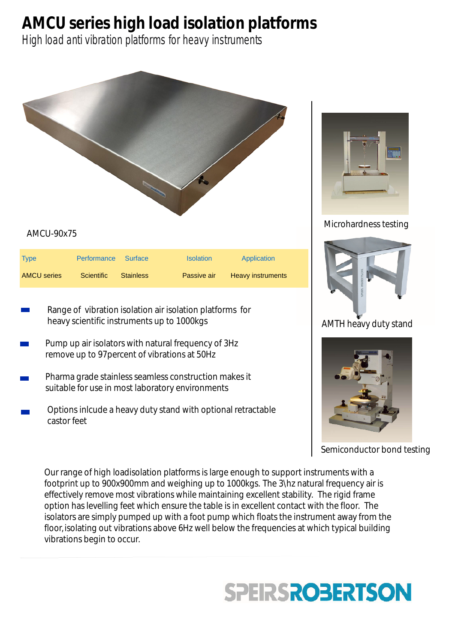## **AMCU series high load isolation platforms**

High load anti vibration platforms for heavy instruments



- Range of vibration isolation air isolation platforms for heavy scientific instruments up to 1000kgs
- Pump up air isolators with natural frequency of 3Hz remove up to 97percent of vibrations at 50Hz
- Pharma grade stainless seamless construction makes it suitable for use in most laboratory environments
- Options inlcude a heavy duty stand with optional retractable castor feet



## Microhardness testing



## AMTH heavy duty stand



## Semiconductor bond testing

Our range of high loadisolation platforms is large enough to support instruments with a footprint up to 900x900mm and weighing up to 1000kgs. The 3\hz natural frequency air is effectively remove most vibrations while maintaining excellent stability. The rigid frame option has levelling feet which ensure the table is in excellent contact with the floor. The isolators are simply pumped up with a foot pump which floats the instrument away from the floor, isolating out vibrations above 6Hz well below the frequencies at which typical building vibrations begin to occur.